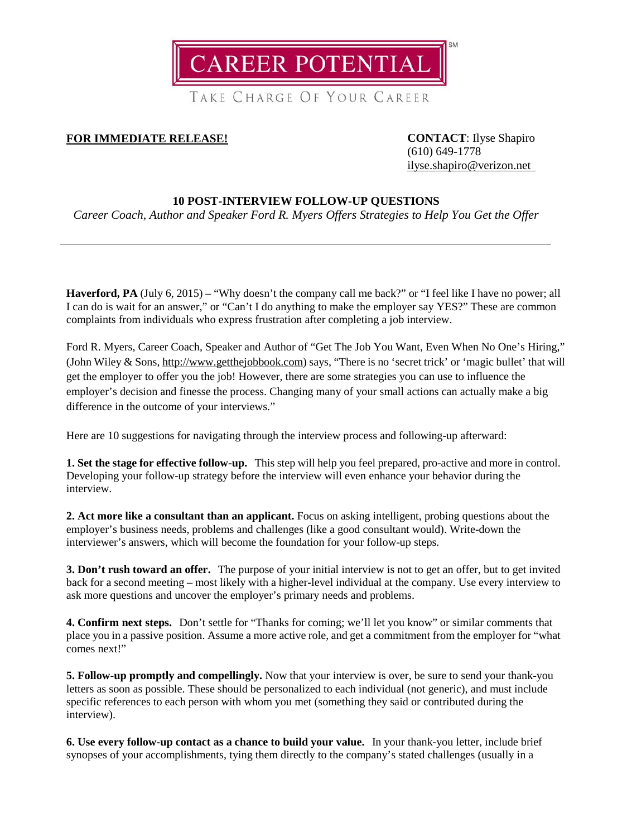

TAKE CHARGE OF YOUR CAREER

# **FOR IMMEDIATE RELEASE! CONTACT**: Ilyse Shapiro

(610) 649-1778 [ilyse.shapiro@verizon.net](mailto:ilyse.shapiro@verizon.net)

### **10 POST-INTERVIEW FOLLOW-UP QUESTIONS**

*Career Coach, Author and Speaker Ford R. Myers Offers Strategies to Help You Get the Offer*

**Haverford, PA** (July 6, 2015) – "Why doesn't the company call me back?" or "I feel like I have no power; all I can do is wait for an answer," or "Can't I do anything to make the employer say YES?" These are common complaints from individuals who express frustration after completing a job interview.

Ford R. Myers, Career Coach, Speaker and Author of "Get The Job You Want, Even When No One's Hiring," (John Wiley & Sons[, http://www.getthejobbook.com\)](http://www.getthejobbook.com/) says, "There is no 'secret trick' or 'magic bullet' that will get the employer to offer you the job! However, there are some strategies you can use to influence the employer's decision and finesse the process. Changing many of your small actions can actually make a big difference in the outcome of your interviews."

Here are 10 suggestions for navigating through the interview process and following-up afterward:

**1. Set the stage for effective follow-up.** This step will help you feel prepared, pro-active and more in control. Developing your follow-up strategy before the interview will even enhance your behavior during the interview.

**2. Act more like a consultant than an applicant.** Focus on asking intelligent, probing questions about the employer's business needs, problems and challenges (like a good consultant would). Write-down the interviewer's answers, which will become the foundation for your follow-up steps.

**3. Don't rush toward an offer.** The purpose of your initial interview is not to get an offer, but to get invited back for a second meeting – most likely with a higher-level individual at the company. Use every interview to ask more questions and uncover the employer's primary needs and problems.

**4. Confirm next steps.** Don't settle for "Thanks for coming; we'll let you know" or similar comments that place you in a passive position. Assume a more active role, and get a commitment from the employer for "what comes next!"

**5. Follow-up promptly and compellingly.** Now that your interview is over, be sure to send your thank-you letters as soon as possible. These should be personalized to each individual (not generic), and must include specific references to each person with whom you met (something they said or contributed during the interview).

**6. Use every follow-up contact as a chance to build your value.** In your thank-you letter, include brief synopses of your accomplishments, tying them directly to the company's stated challenges (usually in a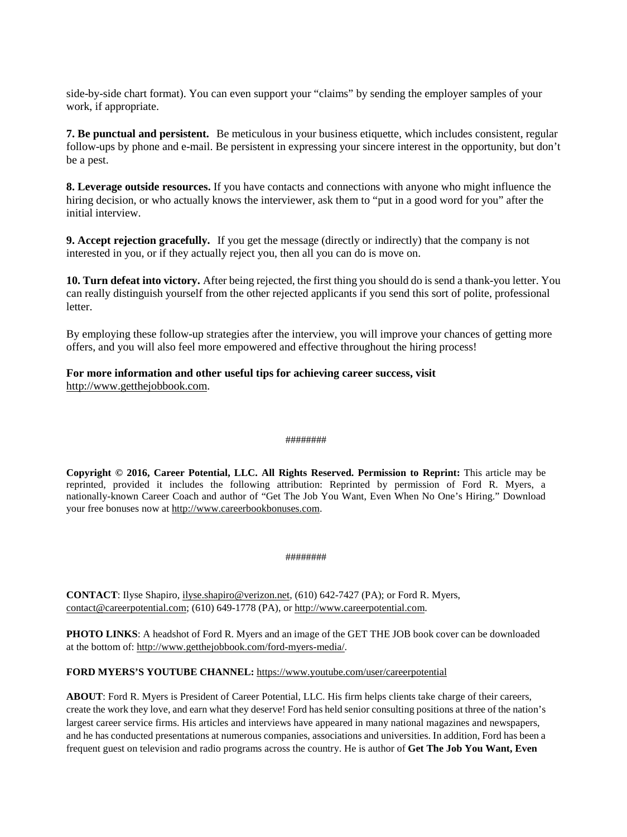side-by-side chart format). You can even support your "claims" by sending the employer samples of your work, if appropriate.

**7. Be punctual and persistent.** Be meticulous in your business etiquette, which includes consistent, regular follow-ups by phone and e-mail. Be persistent in expressing your sincere interest in the opportunity, but don't be a pest.

**8. Leverage outside resources.** If you have contacts and connections with anyone who might influence the hiring decision, or who actually knows the interviewer, ask them to "put in a good word for you" after the initial interview.

**9. Accept rejection gracefully.** If you get the message (directly or indirectly) that the company is not interested in you, or if they actually reject you, then all you can do is move on.

**10. Turn defeat into victory.** After being rejected, the first thing you should do is send a thank-you letter. You can really distinguish yourself from the other rejected applicants if you send this sort of polite, professional letter.

By employing these follow-up strategies after the interview, you will improve your chances of getting more offers, and you will also feel more empowered and effective throughout the hiring process!

## **For more information and other useful tips for achieving career success, visit**

[http://www.getthejobbook.com.](http://www.getthejobbook.com/)

#### ########

**Copyright © 2016, Career Potential, LLC. All Rights Reserved. Permission to Reprint:** This article may be reprinted, provided it includes the following attribution: Reprinted by permission of Ford R. Myers, a nationally-known Career Coach and author of "Get The Job You Want, Even When No One's Hiring." Download your free bonuses now at [http://www.careerbookbonuses.com.](http://www.careerbookbonuses.com/)

#### ########

**CONTACT**: Ilyse Shapiro, [ilyse.shapiro@verizon.net,](mailto:ilyse.shapiro@verizon.net) (610) 642-7427 (PA); or Ford R. Myers, [contact@careerpotential.com;](mailto:contact@careerpotential.com) (610) 649-1778 (PA), o[r http://www.careerpotential.com.](http://www.careerpotential.com/)

**PHOTO LINKS**: A headshot of Ford R. Myers and an image of the GET THE JOB book cover can be downloaded at the bottom of[: http://www.getthejobbook.com/ford-myers-media/.](http://www.getthejobbook.com/ford-myers-media/) 

### **FORD MYERS'S YOUTUBE CHANNEL:** <https://www.youtube.com/user/careerpotential>

**ABOUT**: Ford R. Myers is President of Career Potential, LLC. His firm helps clients take charge of their careers, create the work they love, and earn what they deserve! Ford has held senior consulting positions at three of the nation's largest career service firms. His articles and interviews have appeared in many national magazines and newspapers, and he has conducted presentations at numerous companies, associations and universities. In addition, Ford has been a frequent guest on television and radio programs across the country. He is author of **Get The Job You Want, Even**